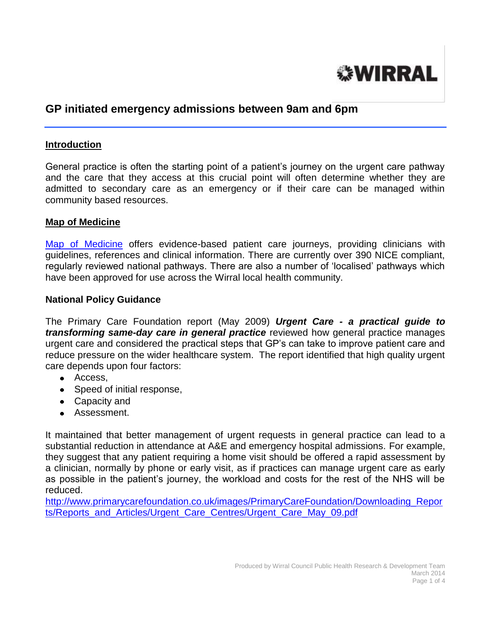

# **GP initiated emergency admissions between 9am and 6pm**

#### **Introduction**

General practice is often the starting point of a patient's journey on the urgent care pathway and the care that they access at this crucial point will often determine whether they are admitted to secondary care as an emergency or if their care can be managed within community based resources.

### **Map of Medicine**

[Map of Medicine](http://www.mapofmedicine.com/) offers evidence-based patient care journeys, providing clinicians with guidelines, references and clinical information. There are currently over 390 NICE compliant, regularly reviewed national pathways. There are also a number of 'localised' pathways which have been approved for use across the Wirral local health community.

#### **National Policy Guidance**

The Primary Care Foundation report (May 2009) *Urgent Care - a practical guide to transforming same-day care in general practice* reviewed how general practice manages urgent care and considered the practical steps that GP's can take to improve patient care and reduce pressure on the wider healthcare system. The report identified that high quality urgent care depends upon four factors:

- Access,
- Speed of initial response,
- Capacity and
- Assessment.

It maintained that better management of urgent requests in general practice can lead to a substantial reduction in attendance at A&E and emergency hospital admissions. For example, they suggest that any patient requiring a home visit should be offered a rapid assessment by a clinician, normally by phone or early visit, as if practices can manage urgent care as early as possible in the patient's journey, the workload and costs for the rest of the NHS will be reduced.

[http://www.primarycarefoundation.co.uk/images/PrimaryCareFoundation/Downloading\\_Repor](http://www.primarycarefoundation.co.uk/images/PrimaryCareFoundation/Downloading_Reports/Reports_and_Articles/Urgent_Care_Centres/Urgent_Care_May_09.pdf) [ts/Reports\\_and\\_Articles/Urgent\\_Care\\_Centres/Urgent\\_Care\\_May\\_09.pdf](http://www.primarycarefoundation.co.uk/images/PrimaryCareFoundation/Downloading_Reports/Reports_and_Articles/Urgent_Care_Centres/Urgent_Care_May_09.pdf)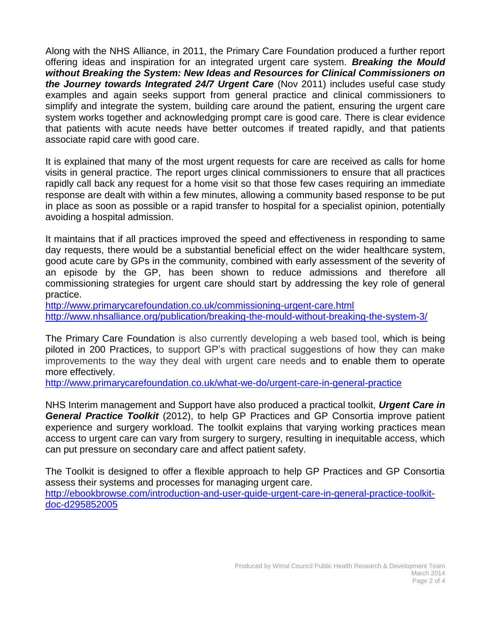Along with the NHS Alliance, in 2011, the Primary Care Foundation produced a further report offering ideas and inspiration for an integrated urgent care system. *Breaking the Mould without Breaking the System: New Ideas and Resources for Clinical Commissioners on the Journey towards Integrated 24/7 Urgent Care* (Nov 2011) includes useful case study examples and again seeks support from general practice and clinical commissioners to simplify and integrate the system, building care around the patient, ensuring the urgent care system works together and acknowledging prompt care is good care. There is clear evidence that patients with acute needs have better outcomes if treated rapidly, and that patients associate rapid care with good care.

It is explained that many of the most urgent requests for care are received as calls for home visits in general practice. The report urges clinical commissioners to ensure that all practices rapidly call back any request for a home visit so that those few cases requiring an immediate response are dealt with within a few minutes, allowing a community based response to be put in place as soon as possible or a rapid transfer to hospital for a specialist opinion, potentially avoiding a hospital admission.

It maintains that if all practices improved the speed and effectiveness in responding to same day requests, there would be a substantial beneficial effect on the wider healthcare system, good acute care by GPs in the community, combined with early assessment of the severity of an episode by the GP, has been shown to reduce admissions and therefore all commissioning strategies for urgent care should start by addressing the key role of general practice.

<http://www.primarycarefoundation.co.uk/commissioning-urgent-care.html> <http://www.nhsalliance.org/publication/breaking-the-mould-without-breaking-the-system-3/>

The Primary Care Foundation is also currently developing a web based tool, which is being piloted in 200 Practices, to support GP's with practical suggestions of how they can make improvements to the way they deal with urgent care needs and to enable them to operate more effectively.

<http://www.primarycarefoundation.co.uk/what-we-do/urgent-care-in-general-practice>

NHS Interim management and Support have also produced a practical toolkit, *Urgent Care in General Practice Toolkit* (2012), to help GP Practices and GP Consortia improve patient experience and surgery workload. The toolkit explains that varying working practices mean access to urgent care can vary from surgery to surgery, resulting in inequitable access, which can put pressure on secondary care and affect patient safety.

The Toolkit is designed to offer a flexible approach to help GP Practices and GP Consortia assess their systems and processes for managing urgent care. [http://ebookbrowse.com/introduction-and-user-guide-urgent-care-in-general-practice-toolkit](http://ebookbrowse.com/introduction-and-user-guide-urgent-care-in-general-practice-toolkit-doc-d295852005)[doc-d295852005](http://ebookbrowse.com/introduction-and-user-guide-urgent-care-in-general-practice-toolkit-doc-d295852005)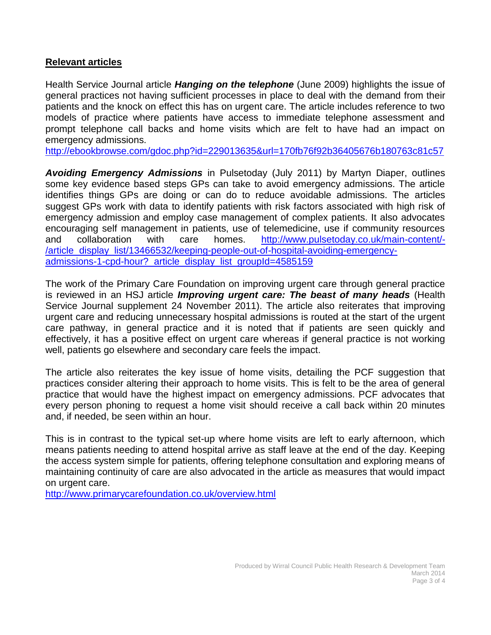## **Relevant articles**

Health Service Journal article *Hanging on the telephone* (June 2009) highlights the issue of general practices not having sufficient processes in place to deal with the demand from their patients and the knock on effect this has on urgent care. The article includes reference to two models of practice where patients have access to immediate telephone assessment and prompt telephone call backs and home visits which are felt to have had an impact on emergency admissions.

<http://ebookbrowse.com/gdoc.php?id=229013635&url=170fb76f92b36405676b180763c81c57>

*Avoiding Emergency Admissions* in Pulsetoday (July 2011) by Martyn Diaper, outlines some key evidence based steps GPs can take to avoid emergency admissions. The article identifies things GPs are doing or can do to reduce avoidable admissions. The articles suggest GPs work with data to identify patients with risk factors associated with high risk of emergency admission and employ case management of complex patients. It also advocates encouraging self management in patients, use of telemedicine, use if community resources and collaboration with care homes. [http://www.pulsetoday.co.uk/main-content/-](http://www.pulsetoday.co.uk/main-content/-/article_display_list/13466532/keeping-people-out-of-hospital-avoiding-emergency-admissions-1-cpd-hour?_article_display_list_groupId=4585159) [/article\\_display\\_list/13466532/keeping-people-out-of-hospital-avoiding-emergency](http://www.pulsetoday.co.uk/main-content/-/article_display_list/13466532/keeping-people-out-of-hospital-avoiding-emergency-admissions-1-cpd-hour?_article_display_list_groupId=4585159)[admissions-1-cpd-hour?\\_article\\_display\\_list\\_groupId=4585159](http://www.pulsetoday.co.uk/main-content/-/article_display_list/13466532/keeping-people-out-of-hospital-avoiding-emergency-admissions-1-cpd-hour?_article_display_list_groupId=4585159)

The work of the Primary Care Foundation on improving urgent care through general practice is reviewed in an HSJ article *Improving urgent care: The beast of many heads* (Health Service Journal supplement 24 November 2011). The article also reiterates that improving urgent care and reducing unnecessary hospital admissions is routed at the start of the urgent care pathway, in general practice and it is noted that if patients are seen quickly and effectively, it has a positive effect on urgent care whereas if general practice is not working well, patients go elsewhere and secondary care feels the impact.

The article also reiterates the key issue of home visits, detailing the PCF suggestion that practices consider altering their approach to home visits. This is felt to be the area of general practice that would have the highest impact on emergency admissions. PCF advocates that every person phoning to request a home visit should receive a call back within 20 minutes and, if needed, be seen within an hour.

This is in contrast to the typical set-up where home visits are left to early afternoon, which means patients needing to attend hospital arrive as staff leave at the end of the day. Keeping the access system simple for patients, offering telephone consultation and exploring means of maintaining continuity of care are also advocated in the article as measures that would impact on urgent care.

<http://www.primarycarefoundation.co.uk/overview.html>